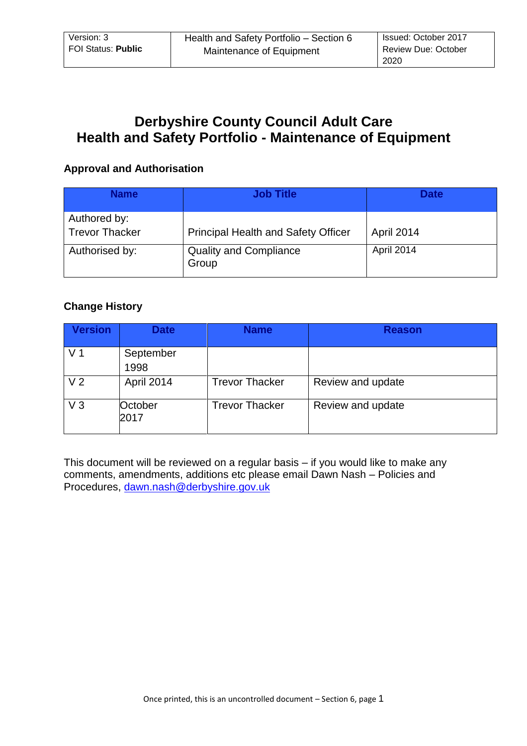# **Derbyshire County Council Adult Care Health and Safety Portfolio - Maintenance of Equipment**

### **Approval and Authorisation**

| <b>Name</b>                           | <b>Job Title</b>                           | <b>Date</b> |
|---------------------------------------|--------------------------------------------|-------------|
| Authored by:<br><b>Trevor Thacker</b> | <b>Principal Health and Safety Officer</b> | April 2014  |
| Authorised by:                        | <b>Quality and Compliance</b><br>Group     | April 2014  |

# **Change History**

| <b>Version</b> | <b>Date</b>       | <b>Name</b>           | <b>Reason</b>     |
|----------------|-------------------|-----------------------|-------------------|
| V <sub>1</sub> | September<br>1998 |                       |                   |
| V <sub>2</sub> | April 2014        | <b>Trevor Thacker</b> | Review and update |
| $V_3$          | October<br>2017   | <b>Trevor Thacker</b> | Review and update |

This document will be reviewed on a regular basis – if you would like to make any comments, amendments, additions etc please email Dawn Nash – Policies and Procedures, [dawn.nash@derbyshire.gov.uk](mailto:dawn.nash@derbyshire.gov.uk)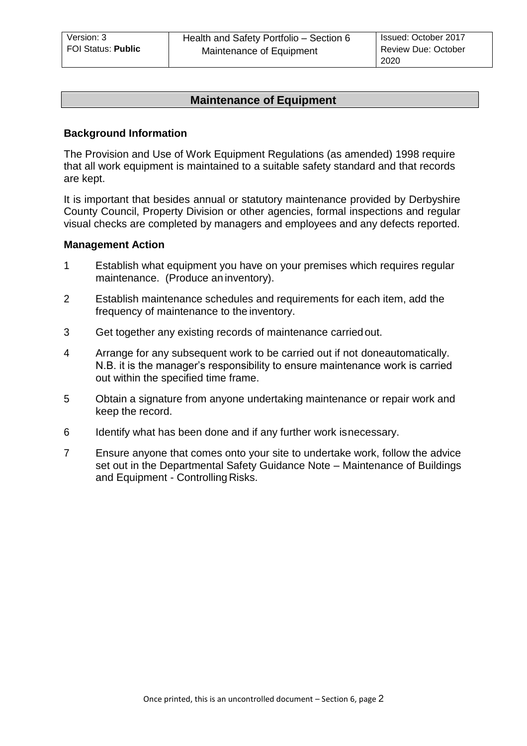# **Maintenance of Equipment**

#### **Background Information**

The Provision and Use of Work Equipment Regulations (as amended) 1998 require that all work equipment is maintained to a suitable safety standard and that records are kept.

It is important that besides annual or statutory maintenance provided by Derbyshire County Council, Property Division or other agencies, formal inspections and regular visual checks are completed by managers and employees and any defects reported.

#### **Management Action**

- 1 Establish what equipment you have on your premises which requires regular maintenance. (Produce an inventory).
- 2 Establish maintenance schedules and requirements for each item, add the frequency of maintenance to the inventory.
- 3 Get together any existing records of maintenance carriedout.
- 4 Arrange for any subsequent work to be carried out if not doneautomatically. N.B. it is the manager's responsibility to ensure maintenance work is carried out within the specified time frame.
- 5 Obtain a signature from anyone undertaking maintenance or repair work and keep the record.
- 6 Identify what has been done and if any further work isnecessary.
- 7 Ensure anyone that comes onto your site to undertake work, follow the advice set out in the Departmental Safety Guidance Note – Maintenance of Buildings and Equipment - Controlling Risks.